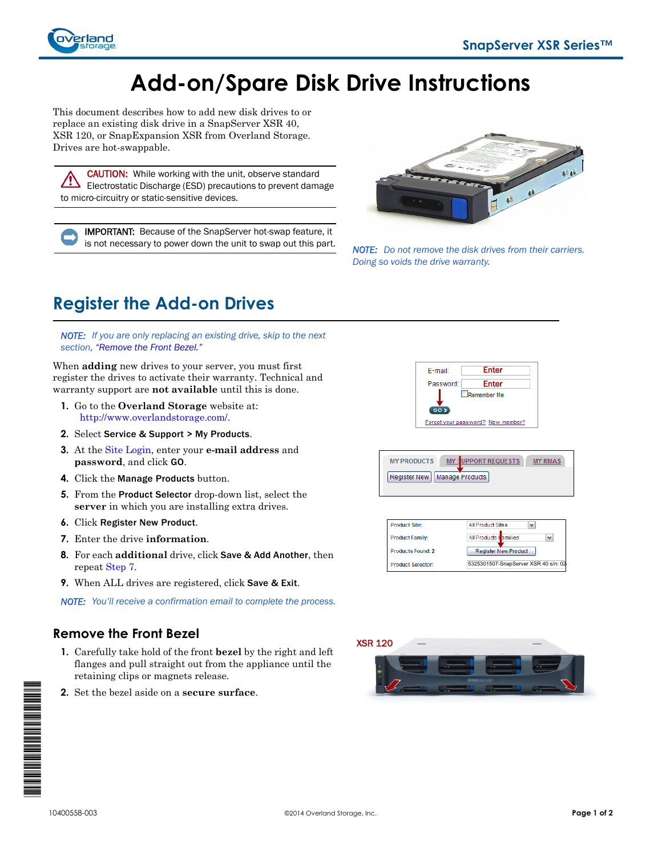

# **Add-on/Spare Disk Drive Instructions**

This document describes how to add new disk drives to or replace an existing disk drive in a SnapServer XSR 40, XSR 120, or SnapExpansion XSR from Overland Storage. Drives are hot-swappable.

CAUTION: While working with the unit, observe standard Electrostatic Discharge (ESD) precautions to prevent damage to micro-circuitry or static-sensitive devices.

IMPORTANT: Because of the SnapServer hot-swap feature, it is not necessary to power down the unit to swap out this part. *NOTE: Do not remove the disk drives from their carriers.* 



*Doing so voids the drive warranty.*

# **Register the Add-on Drives**

*NOTE: If you are only replacing an existing drive, skip to the next section, ["Remove the Front Bezel."](#page-0-0)*

When **adding** new drives to your server, you must first register the drives to activate their warranty. Technical and warranty support are **not available** until this is done.

- **1.** Go to the **Overland Storage** website at: [http://www.overlandstorage.com/.](http://www.overlandstorage.com/)
- **2.** Select Service & Support > My Products.
- **3.** At the [Site Login,](http://support.overlandstorage.com/touchpoint/logIn/login.aspx?ReturnUrl=%2ftouchpoint%2fproducts%2fregisterProduct.aspx) enter your **e-mail address** and **password**, and click GO.
- **4.** Click the Manage Products button.
- **5.** From the Product Selector drop-down list, select the **server** in which you are installing extra drives.
- **6.** Click Register New Product.
- <span id="page-0-1"></span>**7.** Enter the drive **information**.
- **8.** For each **additional** drive, click Save & Add Another, then repeat [Step 7](#page-0-1).
- **9.** When ALL drives are registered, click Save & Exit.

*NOTE: You'll receive a confirmation email to complete the process.*

#### <span id="page-0-0"></span>**Remove the Front Bezel**

- **1.** Carefully take hold of the front **bezel** by the right and left flanges and pull straight out from the appliance until the retaining clips or magnets release.
- **2.** Set the bezel aside on a **secure surface**.



MY : UPPORT REQUESTS MY RMAS **MY PRODUCTS** Register New | Manage Products